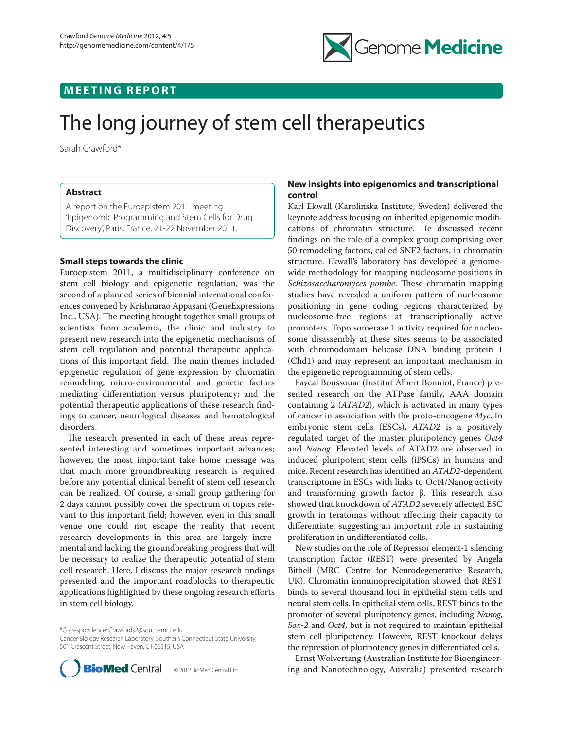

## **MEETING REPORT**

# The long journey of stem cell therapeutics

Sarah Crawford\*

## **Abstract**

A report on the Euroepistem 2011 meeting 'Epigenomic Programming and Stem Cells for Drug Discovery', Paris, France, 21-22 November 2011.

## **Small steps towards the clinic**

Euroepistem 2011, a multidisciplinary conference on stem cell biology and epigenetic regulation, was the second of a planned series of biennial international conferences convened by Krishnarao Appasani (GeneExpressions Inc., USA). The meeting brought together small groups of scientists from academia, the clinic and industry to present new research into the epigenetic mechanisms of stem cell regulation and potential therapeutic applications of this important field. The main themes included epigenetic regulation of gene expression by chromatin remodeling; micro-environmental and genetic factors mediating differentiation versus pluripotency; and the potential therapeutic applications of these research findings to cancer, neurological diseases and hematological disorders.

The research presented in each of these areas represented interesting and sometimes important advances; however, the most important take home message was that much more groundbreaking research is required before any potential clinical benefit of stem cell research can be realized. Of course, a small group gathering for 2 days cannot possibly cover the spectrum of topics relevant to this important field; however, even in this small venue one could not escape the reality that recent research developments in this area are largely incremental and lacking the groundbreaking progress that will be necessary to realize the therapeutic potential of stem cell research. Here, I discuss the major research findings presented and the important roadblocks to therapeutic applications highlighted by these ongoing research efforts in stem cell biology.

\*Correspondence: Crawfords2@southernct.edu

Cancer Biology Research Laboratory, Southern Connecticut State University, 501 Crescent Street, New Haven, CT 06515, USA



## **New insights into epigenomics and transcriptional control**

Karl Ekwall (Karolinska Institute, Sweden) delivered the keynote address focusing on inherited epigenomic modifications of chromatin structure. He discussed recent findings on the role of a complex group comprising over 50 remodeling factors, called SNF2 factors, in chromatin structure. Ekwall's laboratory has developed a genomewide methodology for mapping nucleosome positions in *Schizosaccharomyces pombe*. These chromatin mapping studies have revealed a uniform pattern of nucleosome positioning in gene coding regions characterized by nucleosome-free regions at transcriptionally active promoters. Topoisomerase 1 activity required for nucleosome disassembly at these sites seems to be associated with chromodomain helicase DNA binding protein 1 (Chd1) and may represent an important mechanism in the epigenetic reprogramming of stem cells.

Faycal Boussouar (Institut Albert Bonniot, France) presented research on the ATPase family, AAA domain containing 2 (*ATAD2*), which is activated in many types of cancer in association with the proto-oncogene *Myc*. In embryonic stem cells (ESCs), *ATAD2* is a positively regulated target of the master pluripotency genes *Oct4* and *Nanog*. Elevated levels of ATAD2 are observed in induced pluripotent stem cells (iPSCs) in humans and mice. Recent research has identified an *ATAD2*-dependent transcriptome in ESCs with links to Oct4/Nanog activity and transforming growth factor β. This research also showed that knockdown of *ATAD2* severely affected ESC growth in teratomas without affecting their capacity to differentiate, suggesting an important role in sustaining proliferation in undifferentiated cells.

New studies on the role of Repressor element-1 silencing transcription factor (REST) were presented by Angela Bithell (MRC Centre for Neurodegenerative Research, UK). Chromatin immunoprecipitation showed that REST binds to several thousand loci in epithelial stem cells and neural stem cells. In epithelial stem cells, REST binds to the promoter of several pluripotency genes, including *Nanog*, *Sox-2* and *Oct4*, but is not required to maintain epithelial stem cell pluripotency. However, REST knockout delays the repression of pluripotency genes in differentiated cells.

Ernst Wolvertang (Australian Institute for Bioengineering and Nanotechnology, Australia) presented research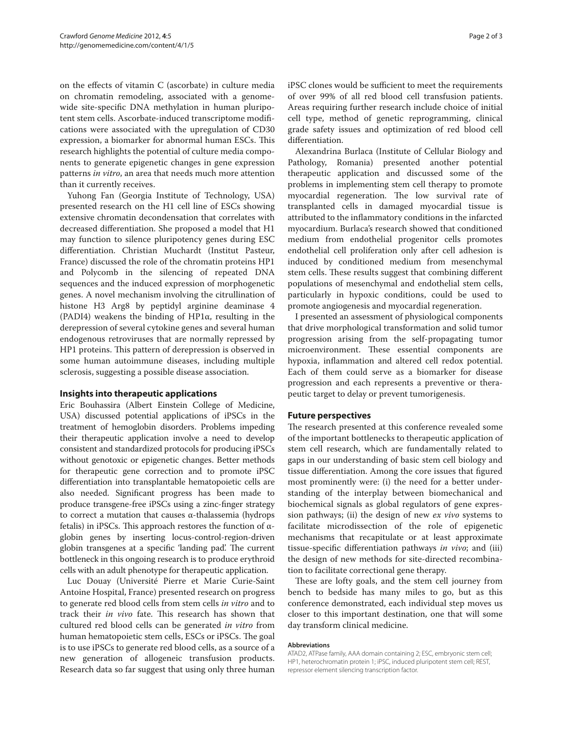on the effects of vitamin C (ascorbate) in culture media on chromatin remodeling, associated with a genomewide site-specific DNA methylation in human pluripotent stem cells. Ascorbate-induced transcriptome modifications were associated with the upregulation of CD30 expression, a biomarker for abnormal human ESCs. This research highlights the potential of culture media components to generate epigenetic changes in gene expression patterns *in vitro*, an area that needs much more attention than it currently receives.

Yuhong Fan (Georgia Institute of Technology, USA) presented research on the H1 cell line of ESCs showing extensive chromatin decondensation that correlates with decreased differentiation. She proposed a model that H1 may function to silence pluripotency genes during ESC differentiation. Christian Muchardt (Institut Pasteur, France) discussed the role of the chromatin proteins HP1 and Polycomb in the silencing of repeated DNA sequences and the induced expression of morphogenetic genes. A novel mechanism involving the citrullination of histone H3 Arg8 by peptidyl arginine deaminase 4 (PADI4) weakens the binding of HP1α, resulting in the derepression of several cytokine genes and several human endogenous retroviruses that are normally repressed by HP1 proteins. This pattern of derepression is observed in some human autoimmune diseases, including multiple sclerosis, suggesting a possible disease association.

#### **Insights into therapeutic applications**

Eric Bouhassira (Albert Einstein College of Medicine, USA) discussed potential applications of iPSCs in the treatment of hemoglobin disorders. Problems impeding their therapeutic application involve a need to develop consistent and standardized protocols for producing iPSCs without genotoxic or epigenetic changes. Better methods for therapeutic gene correction and to promote iPSC differentiation into transplantable hematopoietic cells are also needed. Significant progress has been made to produce transgene-free iPSCs using a zinc-finger strategy to correct a mutation that causes α-thalassemia (hydrops fetalis) in iPSCs. This approach restores the function of αglobin genes by inserting locus-control-region-driven globin transgenes at a specific 'landing pad'. The current bottleneck in this ongoing research is to produce erythroid cells with an adult phenotype for therapeutic application.

Luc Douay (Université Pierre et Marie Curie-Saint Antoine Hospital, France) presented research on progress to generate red blood cells from stem cells *in vitro* and to track their *in vivo* fate. This research has shown that cultured red blood cells can be generated *in vitro* from human hematopoietic stem cells, ESCs or iPSCs. The goal is to use iPSCs to generate red blood cells, as a source of a new generation of allogeneic transfusion products. Research data so far suggest that using only three human iPSC clones would be sufficient to meet the requirements of over 99% of all red blood cell transfusion patients. Areas requiring further research include choice of initial cell type, method of genetic reprogramming, clinical grade safety issues and optimization of red blood cell differentiation.

Alexandrina Burlaca (Institute of Cellular Biology and Pathology, Romania) presented another potential therapeutic application and discussed some of the problems in implementing stem cell therapy to promote myocardial regeneration. The low survival rate of transplanted cells in damaged myocardial tissue is attributed to the inflammatory conditions in the infarcted myocardium. Burlaca's research showed that conditioned medium from endothelial progenitor cells promotes endothelial cell proliferation only after cell adhesion is induced by conditioned medium from mesenchymal stem cells. These results suggest that combining different populations of mesenchymal and endothelial stem cells, particularly in hypoxic conditions, could be used to promote angiogenesis and myocardial regeneration.

I presented an assessment of physiological components that drive morphological transformation and solid tumor progression arising from the self-propagating tumor microenvironment. These essential components are hypoxia, inflammation and altered cell redox potential. Each of them could serve as a biomarker for disease progression and each represents a preventive or therapeutic target to delay or prevent tumorigenesis.

#### **Future perspectives**

The research presented at this conference revealed some of the important bottlenecks to therapeutic application of stem cell research, which are fundamentally related to gaps in our understanding of basic stem cell biology and tissue differentiation. Among the core issues that figured most prominently were: (i) the need for a better understanding of the interplay between biomechanical and biochemical signals as global regulators of gene expression pathways; (ii) the design of new *ex vivo* systems to facilitate microdissection of the role of epigenetic mechanisms that recapitulate or at least approximate tissue-specific differentiation pathways *in vivo*; and (iii) the design of new methods for site-directed recombination to facilitate correctional gene therapy.

These are lofty goals, and the stem cell journey from bench to bedside has many miles to go, but as this conference demonstrated, each individual step moves us closer to this important destination, one that will some day transform clinical medicine.

#### **Abbreviations**

ATAD2, ATPase family, AAA domain containing 2; ESC, embryonic stem cell; HP1, heterochromatin protein 1; iPSC, induced pluripotent stem cell; REST, repressor element silencing transcription factor.